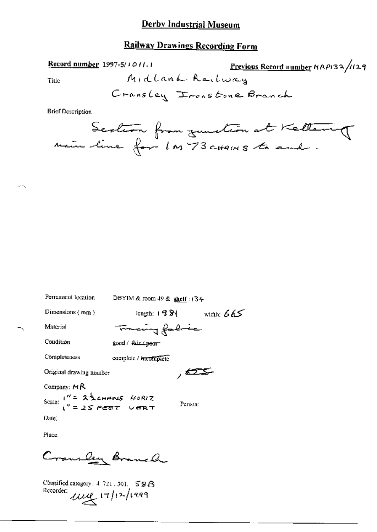### Railway Drawings Recording Form

Record number 1997-5/1011, 1

Previous Record number  $RAP$ 132/129

Title

**Brief Description** 

| Permanent location             | DBYIM & room 49 & shelf : 134       |
|--------------------------------|-------------------------------------|
| Dimensions (mm)                | length: 12S1<br>wigth: $665$        |
| Material                       | Tracing fabric                      |
| Condition                      | good / <del>fair <i>L</i>poor</del> |
| Completeness                   | complete / mcomplete                |
| Original drawing number        | , 625-                              |
| Company: $M\beta$              |                                     |
| Scale: $1'' = 25$ change HORIZ | Person:                             |
| Date:                          |                                     |
|                                |                                     |

Place:

Cransley Branch

Classified category:  $4$  721, 301,  $59B$ Recorder:  $\mu \leq 17/12/1999$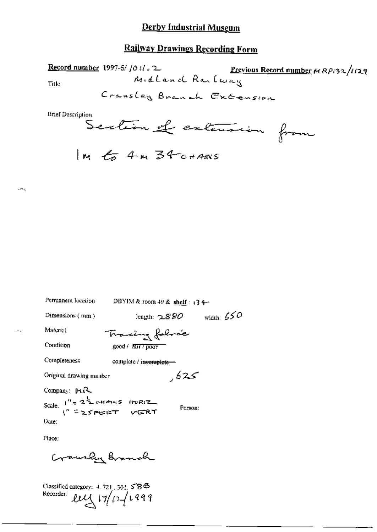# **Railway Drawings Recording Form**

 $\lambda$ 

$$
m \nmid \text{tr} \nmid 4m \nmid 34
$$

| Permanent location                         | DBYIM & room $49$ & shelf: 13 4- |              |
|--------------------------------------------|----------------------------------|--------------|
| Dimensions (mm)                            | length: ${\sim}880$              | width: $650$ |
| Material                                   | Tracing folore                   |              |
| Condition                                  | $good /$ $fair / pool$           |              |
| Completeness                               | complete / incomplete -          |              |
| Original drawing number                    | كحكار                            |              |
| Company: $\mu_1R$                          |                                  |              |
| Scale $1'' = 2^{\frac{1}{2}}$ chains HORIZ | Person:                          |              |
| Date:                                      |                                  |              |

Place:

Crawley Branch

Classified category: 4, 721, 301, 5843<br>Recorder:  $\mathcal{L}\mathcal{L}\left(\sqrt{7/727}\right)$   $\sqrt{499}$ 

 $\overline{\phantom{a}}$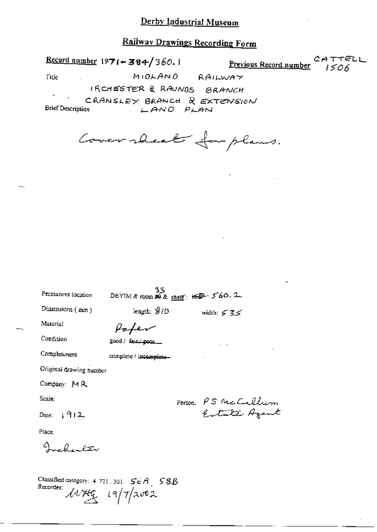# Railway Drawings Recording Form

CATTELL Record number  $1971 - 384/360.1$ Previous Record number  $1506$ MIDLAND RAILWAY Title IRCHESTER & RAUNDS BRANCH CRANSLEY BRANCH & EXTENSION Brief Description LANO PLAN

Cover rheat for plans.

| Permanent location                                                      | 33<br>DBYIM & room $\overline{AB}$ & shelf; $\overline{AB}$ - 560. 2 |                     |  |
|-------------------------------------------------------------------------|----------------------------------------------------------------------|---------------------|--|
| Dimensions (mm)                                                         | length: $8/0$                                                        | width: $535$        |  |
| Material                                                                |                                                                      |                     |  |
| Condition                                                               | good / fair poor                                                     |                     |  |
| Completeness                                                            | complete / incomplete-                                               |                     |  |
| Original drawing number                                                 |                                                                      |                     |  |
| Company: MR                                                             |                                                                      |                     |  |
| Scale:                                                                  |                                                                      |                     |  |
| Date: $\sqrt{912}$                                                      |                                                                      | Person: PS McCallum |  |
| Place.                                                                  |                                                                      |                     |  |
| $4 - \ell$ , $2\pi$                                                     |                                                                      |                     |  |
| Classified category: 4, 721, 301, $S \in A$ 58B<br>Recorder: $147/2002$ |                                                                      |                     |  |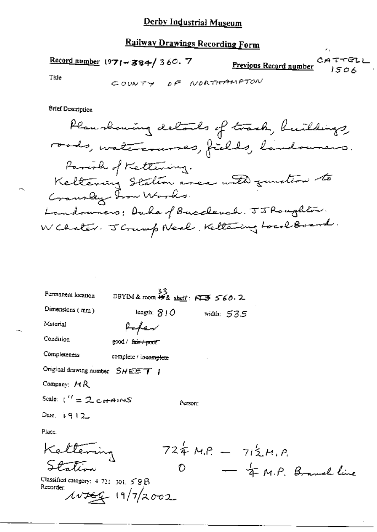# Railway Drawings Recording Form

Record number  $1971 - 384 / 360.7$ 

CATTELL <u>Previous Record number</u>  $1506$ 

 $\epsilon_{\rm A}$ 

Tide

÷.

**Brief Description** 

| Permanent location                                 | DBYIM & room # & shelf: $6755560.2$      |
|----------------------------------------------------|------------------------------------------|
| Dimensions $(mm)$                                  | length: $810$ width: $535$               |
| Material                                           |                                          |
| Condition                                          | sood / f <del>air / poor</del>           |
| Completeness                                       | complete / incomplete                    |
| Original drawing number SHEET                      |                                          |
| Company: $AR$                                      |                                          |
| Scale: $\mathbf{I}^H = 2 \cdot c \cdot \mathbf{A}$ | Person:                                  |
| Date $i$ 9 1 2                                     |                                          |
| Place.                                             |                                          |
| Kettering                                          | $724 MP = 712 M.P.0 - 4 M.P. Brand line$ |
|                                                    |                                          |
| Classified category: $4.721$ and $\leq$ O R        |                                          |

Classified category: 4 721 301. 58B<br>Recorder:<br> $\mu v \neq 4$  19/7/2002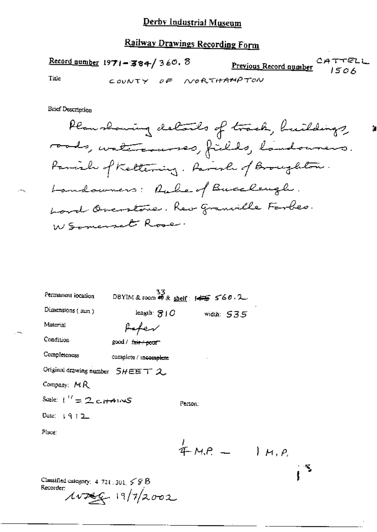# **Railway Drawings Recording Form**

**Previous Record number**  $CATTELL$  $Record$  number 1971-384/360. 8</u> Title COUNTY OF NORTHAMPTON

**Brief Description** 

Planshowing details of track, buildings, roods, untercauses, fields, landourers. Panish of Keltering, Parish of Broughton. Landowners: Ruber of Buccheugh. Lord Overstone. Rev granville Forbes. W Somerset Rose

| Permanent location                           | $33$<br>DBYIM & room #9 & <u>shelf</u> : $45$ 560.2 |                            |  |
|----------------------------------------------|-----------------------------------------------------|----------------------------|--|
| Dimensions (mm)                              |                                                     | length: $810$ width: $535$ |  |
| Material                                     |                                                     |                            |  |
| Condition                                    | good / f <del>air / poor</del>                      |                            |  |
| Completeness                                 | complete / incomplete                               |                            |  |
| Original drawing number 5HEET 2              |                                                     |                            |  |
| Company: $MR$                                |                                                     |                            |  |
| Scale: $\binom{17}{1}$ 2 ct $\binom{14}{10}$ |                                                     | Person:                    |  |
| Date: $\mid \mathcal{A} \mid 2$              |                                                     |                            |  |
| Place:                                       |                                                     |                            |  |
|                                              |                                                     | $4 - M.P. - 1 M.P.$        |  |
|                                              |                                                     |                            |  |

Classified category:  $4.721 \pm 301.5$  S B Recorder:  $10799 - 19/72002$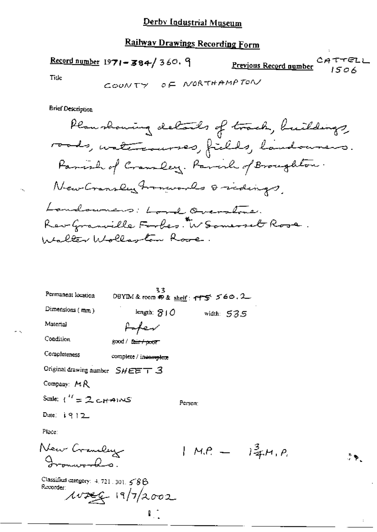# Railway Drawings Recording Form

Record number  $1971 - 384 / 360.9$ CATTELL Previous Record number  $1506$ 

 $\cdot$  ,

- 5

**Brief Description** 

| Permanent location                                | 33<br>DBYIM&room の& <u>sheif</u> : イヤラ ゞ60.2_ |         |            |                    |
|---------------------------------------------------|-----------------------------------------------|---------|------------|--------------------|
| Dimensions (mm)                                   | length: SIO                                   |         | width: 535 |                    |
| Material                                          |                                               |         |            |                    |
| Condition                                         | good / la <del>ir / poor</del>                |         |            |                    |
| Completeness                                      | complete / incomplete                         |         |            |                    |
| Original drawing number $SHEET = 3$               |                                               |         |            |                    |
| Company: MR                                       |                                               |         |            |                    |
| Scale: $U' = 2$ correnors                         |                                               | Регуол: |            |                    |
| Date: $1912$                                      |                                               |         |            |                    |
| Place:                                            |                                               |         |            |                    |
| New Craneley                                      |                                               |         |            | $1 M.P. - 14 M.P.$ |
| Classified category: $4.721.301.586$<br>Recorder: | $107996$ $19/7/2002$                          |         |            |                    |

 $\mathbb{F}_2$ 

 $\stackrel{\ast}{\rightarrow} \blacktriangleright$  .

 $\ddot{\phantom{a}}$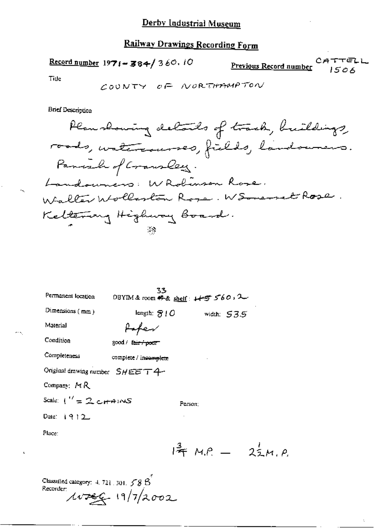# Railway Drawings Recording Form

Record number  $1971 - 384 / 360.10$ CATTELL Previous Record number  $1506$ 

Title

 $\bar{\mathcal{E}}$ 

 $\overline{\phantom{a}}$ 

 $\sigma_{\rm DM}$ 

Å,

**Brief Description** 

| Permanent location                                                                                   | 33<br>DBYIM&room ╇& <u>shelf</u> : 14万 560 , 2 |         |              |                     |
|------------------------------------------------------------------------------------------------------|------------------------------------------------|---------|--------------|---------------------|
| Dimensions (mm)                                                                                      | length: $7/0$                                  |         | width: $535$ |                     |
| Material                                                                                             |                                                |         |              |                     |
| Condition                                                                                            | good / f <del>air / pour</del>                 |         |              |                     |
| Completeness                                                                                         | complete / incomplete                          |         |              |                     |
| Original drawing number SHEET4-                                                                      |                                                |         |              |                     |
| Company: $H R$                                                                                       |                                                |         |              |                     |
| Scale: $\binom{17}{7}$ $\approx$ $\frac{1}{2}$ $\approx$ $\frac{1}{2}$ $\approx$ $\approx$ $\approx$ |                                                | Person: |              |                     |
| Date: $1912$                                                                                         |                                                |         |              |                     |
| Place:                                                                                               |                                                |         |              |                     |
|                                                                                                      |                                                |         |              | $144$ M.P. - 22M.P. |

Classified category: 4.721.301. 588<br>Recorder:<br> $\mu v = 19/7/2002$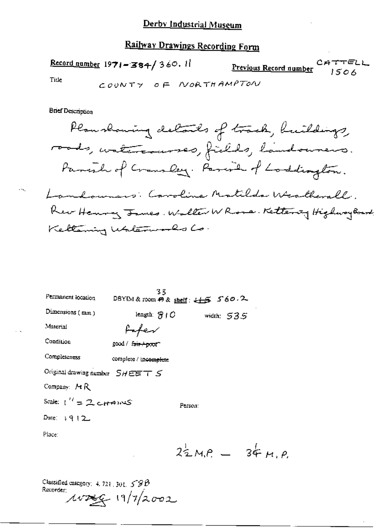# Railway Drawings Recording Form

Record number  $1971 - 384 / 360$ . 11 CATTELL Previous Record number  $1506$ Tide COUNTY OF NORTHAMPTON

**Brief Description** 

 $\sim$ 

| Permanent location                | 33<br>DBYIM & room $P \&$ shelf: $L \rightarrow S$ 560.2 |         |              |                           |
|-----------------------------------|----------------------------------------------------------|---------|--------------|---------------------------|
| Dimensions (mm)                   | length: $\mathcal{B}$ $\mathfrak{f}$ $C$                 |         | width: $535$ |                           |
| Material                          | foter                                                    |         |              |                           |
| Condition                         | good / fair + poof"                                      |         |              |                           |
| Completeness                      | complete / incomplete                                    |         |              |                           |
| Original drawing number $SHEETS$  |                                                          |         |              |                           |
| Company: MR                       |                                                          |         |              |                           |
| Scale: (''=ユ <sub>ヒけ</sub> ゅハヘヒS' |                                                          | Person: |              |                           |
| Date: $\sqrt{9}$   2              |                                                          |         |              |                           |
| Place:                            |                                                          |         |              |                           |
|                                   |                                                          |         |              | $2^{1}_{2}M.P. = 34 M.P.$ |

Classified category: 4, 721, 301,  $59B$ <br>Recorder:  $\mu v$ zec 19/7/2002